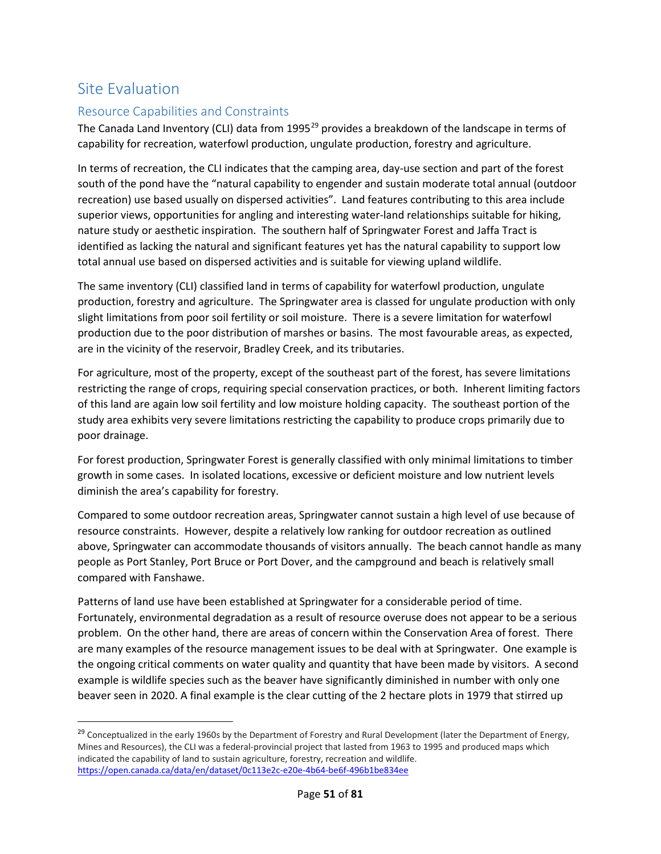# Site Evaluation

## Resource Capabilities and Constraints

The Canada Land Inventory (CLI) data from 1995<sup>[29](#page-0-0)</sup> provides a breakdown of the landscape in terms of capability for recreation, waterfowl production, ungulate production, forestry and agriculture.

In terms of recreation, the CLI indicates that the camping area, day-use section and part of the forest south of the pond have the "natural capability to engender and sustain moderate total annual (outdoor recreation) use based usually on dispersed activities". Land features contributing to this area include superior views, opportunities for angling and interesting water-land relationships suitable for hiking, nature study or aesthetic inspiration. The southern half of Springwater Forest and Jaffa Tract is identified as lacking the natural and significant features yet has the natural capability to support low total annual use based on dispersed activities and is suitable for viewing upland wildlife.

The same inventory (CLI) classified land in terms of capability for waterfowl production, ungulate production, forestry and agriculture. The Springwater area is classed for ungulate production with only slight limitations from poor soil fertility or soil moisture. There is a severe limitation for waterfowl production due to the poor distribution of marshes or basins. The most favourable areas, as expected, are in the vicinity of the reservoir, Bradley Creek, and its tributaries.

For agriculture, most of the property, except of the southeast part of the forest, has severe limitations restricting the range of crops, requiring special conservation practices, or both. Inherent limiting factors of this land are again low soil fertility and low moisture holding capacity. The southeast portion of the study area exhibits very severe limitations restricting the capability to produce crops primarily due to poor drainage.

For forest production, Springwater Forest is generally classified with only minimal limitations to timber growth in some cases. In isolated locations, excessive or deficient moisture and low nutrient levels diminish the area's capability for forestry.

Compared to some outdoor recreation areas, Springwater cannot sustain a high level of use because of resource constraints. However, despite a relatively low ranking for outdoor recreation as outlined above, Springwater can accommodate thousands of visitors annually. The beach cannot handle as many people as Port Stanley, Port Bruce or Port Dover, and the campground and beach is relatively small compared with Fanshawe.

Patterns of land use have been established at Springwater for a considerable period of time. Fortunately, environmental degradation as a result of resource overuse does not appear to be a serious problem. On the other hand, there are areas of concern within the Conservation Area of forest. There are many examples of the resource management issues to be deal with at Springwater. One example is the ongoing critical comments on water quality and quantity that have been made by visitors. A second example is wildlife species such as the beaver have significantly diminished in number with only one beaver seen in 2020. A final example is the clear cutting of the 2 hectare plots in 1979 that stirred up

<span id="page-0-0"></span> $^{29}$  Conceptualized in the early 1960s by the Department of Forestry and Rural Development (later the Department of Energy, Mines and Resources), the CLI was a federal-provincial project that lasted from 1963 to 1995 and produced maps which indicated the capability of land to sustain agriculture, forestry, recreation and wildlife. <https://open.canada.ca/data/en/dataset/0c113e2c-e20e-4b64-be6f-496b1be834ee>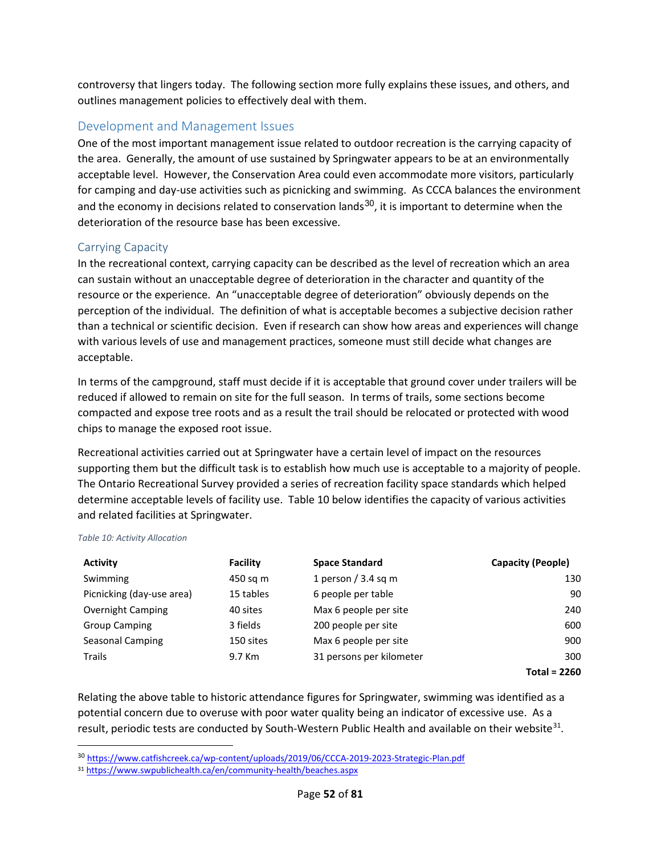controversy that lingers today. The following section more fully explains these issues, and others, and outlines management policies to effectively deal with them.

## Development and Management Issues

One of the most important management issue related to outdoor recreation is the carrying capacity of the area. Generally, the amount of use sustained by Springwater appears to be at an environmentally acceptable level. However, the Conservation Area could even accommodate more visitors, particularly for camping and day-use activities such as picnicking and swimming. As CCCA balances the environment and the economy in decisions related to conservation lands<sup>[30](#page-1-0)</sup>, it is important to determine when the deterioration of the resource base has been excessive.

### Carrying Capacity

In the recreational context, carrying capacity can be described as the level of recreation which an area can sustain without an unacceptable degree of deterioration in the character and quantity of the resource or the experience. An "unacceptable degree of deterioration" obviously depends on the perception of the individual. The definition of what is acceptable becomes a subjective decision rather than a technical or scientific decision. Even if research can show how areas and experiences will change with various levels of use and management practices, someone must still decide what changes are acceptable.

In terms of the campground, staff must decide if it is acceptable that ground cover under trailers will be reduced if allowed to remain on site for the full season. In terms of trails, some sections become compacted and expose tree roots and as a result the trail should be relocated or protected with wood chips to manage the exposed root issue.

Recreational activities carried out at Springwater have a certain level of impact on the resources supporting them but the difficult task is to establish how much use is acceptable to a majority of people. The Ontario Recreational Survey provided a series of recreation facility space standards which helped determine acceptable levels of facility use. Table 10 below identifies the capacity of various activities and related facilities at Springwater.

#### *Table 10: Activity Allocation*

| <b>Activity</b>           | Facility  | <b>Space Standard</b>    | <b>Capacity (People)</b> |
|---------------------------|-----------|--------------------------|--------------------------|
| Swimming                  | 450 sg m  | 1 person $/$ 3.4 sq m    | 130                      |
| Picnicking (day-use area) | 15 tables | 6 people per table       | 90                       |
| <b>Overnight Camping</b>  | 40 sites  | Max 6 people per site    | 240                      |
| <b>Group Camping</b>      | 3 fields  | 200 people per site      | 600                      |
| Seasonal Camping          | 150 sites | Max 6 people per site    | 900                      |
| Trails                    | 9.7 Km    | 31 persons per kilometer | 300                      |
|                           |           |                          | <b>Total = 2260</b>      |

Relating the above table to historic attendance figures for Springwater, swimming was identified as a potential concern due to overuse with poor water quality being an indicator of excessive use. As a result, periodic tests are conducted by South-Western Public Health and available on their website<sup>31</sup>.

<span id="page-1-0"></span> <sup>30</sup> <https://www.catfishcreek.ca/wp-content/uploads/2019/06/CCCA-2019-2023-Strategic-Plan.pdf>

<span id="page-1-1"></span><sup>31</sup> <https://www.swpublichealth.ca/en/community-health/beaches.aspx>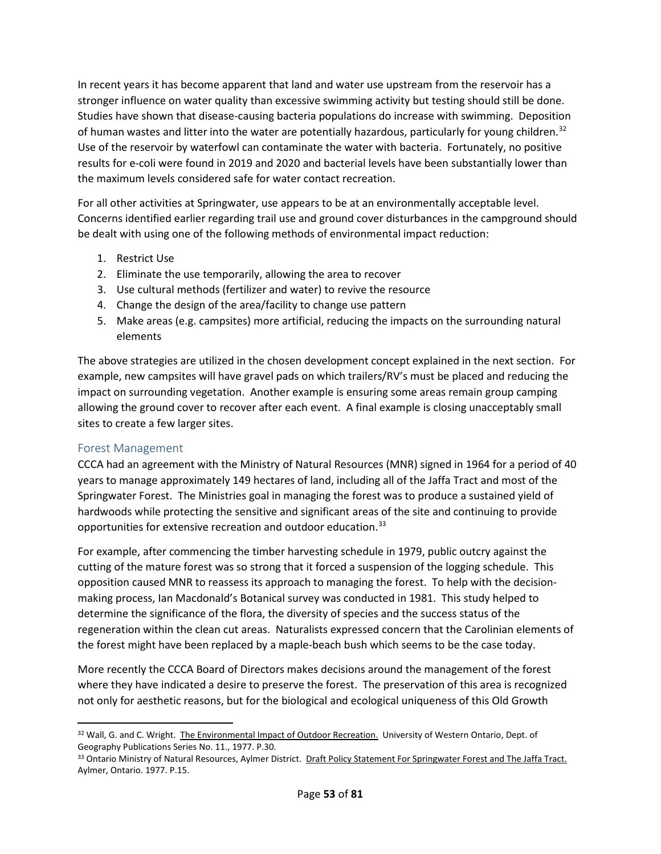In recent years it has become apparent that land and water use upstream from the reservoir has a stronger influence on water quality than excessive swimming activity but testing should still be done. Studies have shown that disease-causing bacteria populations do increase with swimming. Deposition of human wastes and litter into the water are potentially hazardous, particularly for young children.<sup>32</sup> Use of the reservoir by waterfowl can contaminate the water with bacteria. Fortunately, no positive results for e-coli were found in 2019 and 2020 and bacterial levels have been substantially lower than the maximum levels considered safe for water contact recreation.

For all other activities at Springwater, use appears to be at an environmentally acceptable level. Concerns identified earlier regarding trail use and ground cover disturbances in the campground should be dealt with using one of the following methods of environmental impact reduction:

- 1. Restrict Use
- 2. Eliminate the use temporarily, allowing the area to recover
- 3. Use cultural methods (fertilizer and water) to revive the resource
- 4. Change the design of the area/facility to change use pattern
- 5. Make areas (e.g. campsites) more artificial, reducing the impacts on the surrounding natural elements

The above strategies are utilized in the chosen development concept explained in the next section. For example, new campsites will have gravel pads on which trailers/RV's must be placed and reducing the impact on surrounding vegetation. Another example is ensuring some areas remain group camping allowing the ground cover to recover after each event. A final example is closing unacceptably small sites to create a few larger sites.

### Forest Management

CCCA had an agreement with the Ministry of Natural Resources (MNR) signed in 1964 for a period of 40 years to manage approximately 149 hectares of land, including all of the Jaffa Tract and most of the Springwater Forest. The Ministries goal in managing the forest was to produce a sustained yield of hardwoods while protecting the sensitive and significant areas of the site and continuing to provide opportunities for extensive recreation and outdoor education.<sup>[33](#page-2-1)</sup>

For example, after commencing the timber harvesting schedule in 1979, public outcry against the cutting of the mature forest was so strong that it forced a suspension of the logging schedule. This opposition caused MNR to reassess its approach to managing the forest. To help with the decisionmaking process, Ian Macdonald's Botanical survey was conducted in 1981. This study helped to determine the significance of the flora, the diversity of species and the success status of the regeneration within the clean cut areas. Naturalists expressed concern that the Carolinian elements of the forest might have been replaced by a maple-beach bush which seems to be the case today.

More recently the CCCA Board of Directors makes decisions around the management of the forest where they have indicated a desire to preserve the forest. The preservation of this area is recognized not only for aesthetic reasons, but for the biological and ecological uniqueness of this Old Growth

<span id="page-2-0"></span><sup>32</sup> Wall, G. and C. Wright. The Environmental Impact of Outdoor Recreation. University of Western Ontario, Dept. of Geography Publications Series No. 11., 1977. P.30.

<span id="page-2-1"></span><sup>33</sup> Ontario Ministry of Natural Resources, Aylmer District. Draft Policy Statement For Springwater Forest and The Jaffa Tract. Aylmer, Ontario. 1977. P.15.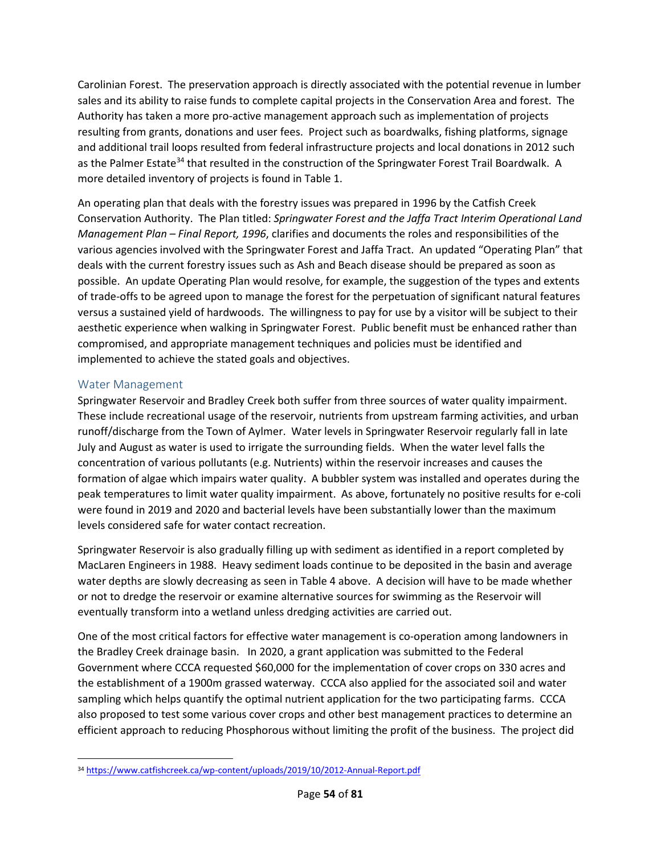Carolinian Forest. The preservation approach is directly associated with the potential revenue in lumber sales and its ability to raise funds to complete capital projects in the Conservation Area and forest. The Authority has taken a more pro-active management approach such as implementation of projects resulting from grants, donations and user fees. Project such as boardwalks, fishing platforms, signage and additional trail loops resulted from federal infrastructure projects and local donations in 2012 such as the Palmer Estate<sup>[34](#page-3-0)</sup> that resulted in the construction of the Springwater Forest Trail Boardwalk. A more detailed inventory of projects is found in Table 1.

An operating plan that deals with the forestry issues was prepared in 1996 by the Catfish Creek Conservation Authority. The Plan titled: *Springwater Forest and the Jaffa Tract Interim Operational Land Management Plan – Final Report, 1996*, clarifies and documents the roles and responsibilities of the various agencies involved with the Springwater Forest and Jaffa Tract. An updated "Operating Plan" that deals with the current forestry issues such as Ash and Beach disease should be prepared as soon as possible. An update Operating Plan would resolve, for example, the suggestion of the types and extents of trade-offs to be agreed upon to manage the forest for the perpetuation of significant natural features versus a sustained yield of hardwoods. The willingness to pay for use by a visitor will be subject to their aesthetic experience when walking in Springwater Forest. Public benefit must be enhanced rather than compromised, and appropriate management techniques and policies must be identified and implemented to achieve the stated goals and objectives.

### Water Management

Springwater Reservoir and Bradley Creek both suffer from three sources of water quality impairment. These include recreational usage of the reservoir, nutrients from upstream farming activities, and urban runoff/discharge from the Town of Aylmer. Water levels in Springwater Reservoir regularly fall in late July and August as water is used to irrigate the surrounding fields. When the water level falls the concentration of various pollutants (e.g. Nutrients) within the reservoir increases and causes the formation of algae which impairs water quality. A bubbler system was installed and operates during the peak temperatures to limit water quality impairment. As above, fortunately no positive results for e-coli were found in 2019 and 2020 and bacterial levels have been substantially lower than the maximum levels considered safe for water contact recreation.

Springwater Reservoir is also gradually filling up with sediment as identified in a report completed by MacLaren Engineers in 1988. Heavy sediment loads continue to be deposited in the basin and average water depths are slowly decreasing as seen in Table 4 above. A decision will have to be made whether or not to dredge the reservoir or examine alternative sources for swimming as the Reservoir will eventually transform into a wetland unless dredging activities are carried out.

One of the most critical factors for effective water management is co-operation among landowners in the Bradley Creek drainage basin. In 2020, a grant application was submitted to the Federal Government where CCCA requested \$60,000 for the implementation of cover crops on 330 acres and the establishment of a 1900m grassed waterway. CCCA also applied for the associated soil and water sampling which helps quantify the optimal nutrient application for the two participating farms. CCCA also proposed to test some various cover crops and other best management practices to determine an efficient approach to reducing Phosphorous without limiting the profit of the business. The project did

<span id="page-3-0"></span> <sup>34</sup> <https://www.catfishcreek.ca/wp-content/uploads/2019/10/2012-Annual-Report.pdf>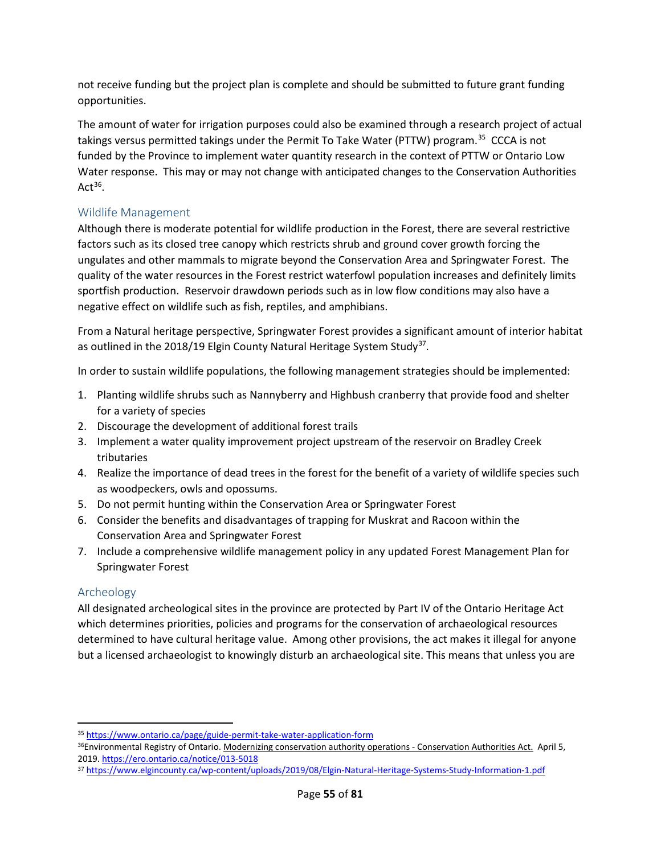not receive funding but the project plan is complete and should be submitted to future grant funding opportunities.

The amount of water for irrigation purposes could also be examined through a research project of actual takings versus permitted takings under the Permit To Take Water (PTTW) program.<sup>[35](#page-4-0)</sup> CCCA is not funded by the Province to implement water quantity research in the context of PTTW or Ontario Low Water response. This may or may not change with anticipated changes to the Conservation Authorities  $Act^{36}$  $Act^{36}$  $Act^{36}$ .

## Wildlife Management

Although there is moderate potential for wildlife production in the Forest, there are several restrictive factors such as its closed tree canopy which restricts shrub and ground cover growth forcing the ungulates and other mammals to migrate beyond the Conservation Area and Springwater Forest. The quality of the water resources in the Forest restrict waterfowl population increases and definitely limits sportfish production. Reservoir drawdown periods such as in low flow conditions may also have a negative effect on wildlife such as fish, reptiles, and amphibians.

From a Natural heritage perspective, Springwater Forest provides a significant amount of interior habitat as outlined in the 2018/19 Elgin County Natural Heritage System Study<sup>37</sup>.

In order to sustain wildlife populations, the following management strategies should be implemented:

- 1. Planting wildlife shrubs such as Nannyberry and Highbush cranberry that provide food and shelter for a variety of species
- 2. Discourage the development of additional forest trails
- 3. Implement a water quality improvement project upstream of the reservoir on Bradley Creek tributaries
- 4. Realize the importance of dead trees in the forest for the benefit of a variety of wildlife species such as woodpeckers, owls and opossums.
- 5. Do not permit hunting within the Conservation Area or Springwater Forest
- 6. Consider the benefits and disadvantages of trapping for Muskrat and Racoon within the Conservation Area and Springwater Forest
- 7. Include a comprehensive wildlife management policy in any updated Forest Management Plan for Springwater Forest

## Archeology

All designated archeological sites in the province are protected by Part IV of the Ontario Heritage Act which determines priorities, policies and programs for the conservation of archaeological resources determined to have cultural heritage value. Among other provisions, the act makes it illegal for anyone but a licensed archaeologist to knowingly disturb an archaeological site. This means that unless you are

<span id="page-4-0"></span> <sup>35</sup> <https://www.ontario.ca/page/guide-permit-take-water-application-form>

<span id="page-4-1"></span><sup>36</sup>Environmental Registry of Ontario. Modernizing conservation authority operations - Conservation Authorities Act. April 5, 2019[. https://ero.ontario.ca/notice/013-5018](https://ero.ontario.ca/notice/013-5018)

<span id="page-4-2"></span><sup>37</sup> <https://www.elgincounty.ca/wp-content/uploads/2019/08/Elgin-Natural-Heritage-Systems-Study-Information-1.pdf>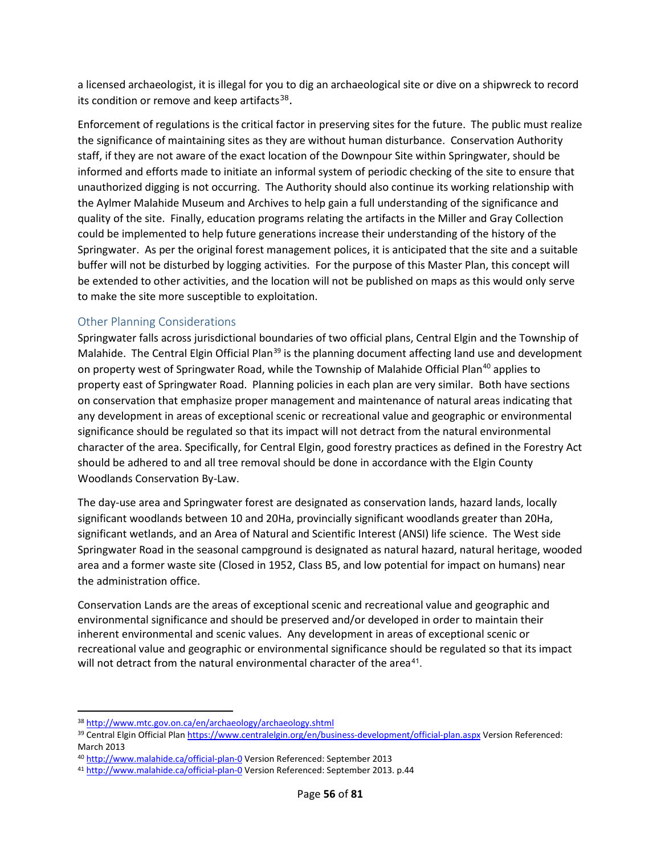a licensed archaeologist, it is illegal for you to dig an archaeological site or dive on a shipwreck to record its condition or remove and keep artifacts $38$ .

Enforcement of regulations is the critical factor in preserving sites for the future. The public must realize the significance of maintaining sites as they are without human disturbance. Conservation Authority staff, if they are not aware of the exact location of the Downpour Site within Springwater, should be informed and efforts made to initiate an informal system of periodic checking of the site to ensure that unauthorized digging is not occurring. The Authority should also continue its working relationship with the Aylmer Malahide Museum and Archives to help gain a full understanding of the significance and quality of the site. Finally, education programs relating the artifacts in the Miller and Gray Collection could be implemented to help future generations increase their understanding of the history of the Springwater. As per the original forest management polices, it is anticipated that the site and a suitable buffer will not be disturbed by logging activities. For the purpose of this Master Plan, this concept will be extended to other activities, and the location will not be published on maps as this would only serve to make the site more susceptible to exploitation.

### Other Planning Considerations

Springwater falls across jurisdictional boundaries of two official plans, Central Elgin and the Township of Malahide. The Central Elgin Official Plan<sup>[39](#page-5-1)</sup> is the planning document affecting land use and development on property west of Springwater Road, while the Township of Malahide Official Plan<sup>[40](#page-5-2)</sup> applies to property east of Springwater Road. Planning policies in each plan are very similar. Both have sections on conservation that emphasize proper management and maintenance of natural areas indicating that any development in areas of exceptional scenic or recreational value and geographic or environmental significance should be regulated so that its impact will not detract from the natural environmental character of the area. Specifically, for Central Elgin, good forestry practices as defined in the Forestry Act should be adhered to and all tree removal should be done in accordance with the Elgin County Woodlands Conservation By-Law.

The day-use area and Springwater forest are designated as conservation lands, hazard lands, locally significant woodlands between 10 and 20Ha, provincially significant woodlands greater than 20Ha, significant wetlands, and an Area of Natural and Scientific Interest (ANSI) life science. The West side Springwater Road in the seasonal campground is designated as natural hazard, natural heritage, wooded area and a former waste site (Closed in 1952, Class B5, and low potential for impact on humans) near the administration office.

Conservation Lands are the areas of exceptional scenic and recreational value and geographic and environmental significance and should be preserved and/or developed in order to maintain their inherent environmental and scenic values. Any development in areas of exceptional scenic or recreational value and geographic or environmental significance should be regulated so that its impact will not detract from the natural environmental character of the area<sup>41</sup>.

<span id="page-5-0"></span> <sup>38</sup> <http://www.mtc.gov.on.ca/en/archaeology/archaeology.shtml>

<span id="page-5-1"></span><sup>39</sup> Central Elgin Official Plan<https://www.centralelgin.org/en/business-development/official-plan.aspx> Version Referenced: March 2013

<span id="page-5-2"></span><sup>40</sup> <http://www.malahide.ca/official-plan-0> Version Referenced: September 2013

<span id="page-5-3"></span><sup>41</sup> <http://www.malahide.ca/official-plan-0> Version Referenced: September 2013. p.44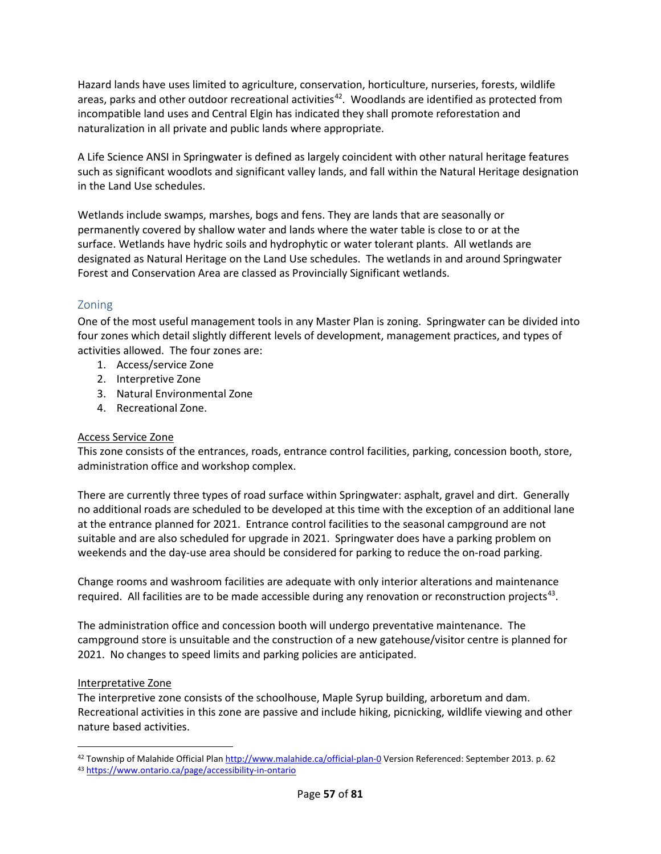Hazard lands have uses limited to agriculture, conservation, horticulture, nurseries, forests, wildlife areas, parks and other outdoor recreational activities<sup>[42](#page-6-0)</sup>. Woodlands are identified as protected from incompatible land uses and Central Elgin has indicated they shall promote reforestation and naturalization in all private and public lands where appropriate.

A Life Science ANSI in Springwater is defined as largely coincident with other natural heritage features such as significant woodlots and significant valley lands, and fall within the Natural Heritage designation in the Land Use schedules.

Wetlands include swamps, marshes, bogs and fens. They are lands that are seasonally or permanently covered by shallow water and lands where the water table is close to or at the surface. Wetlands have hydric soils and hydrophytic or water tolerant plants. All wetlands are designated as Natural Heritage on the Land Use schedules. The wetlands in and around Springwater Forest and Conservation Area are classed as Provincially Significant wetlands.

## Zoning

One of the most useful management tools in any Master Plan is zoning. Springwater can be divided into four zones which detail slightly different levels of development, management practices, and types of activities allowed. The four zones are:

- 1. Access/service Zone
- 2. Interpretive Zone
- 3. Natural Environmental Zone
- 4. Recreational Zone.

### Access Service Zone

This zone consists of the entrances, roads, entrance control facilities, parking, concession booth, store, administration office and workshop complex.

There are currently three types of road surface within Springwater: asphalt, gravel and dirt. Generally no additional roads are scheduled to be developed at this time with the exception of an additional lane at the entrance planned for 2021. Entrance control facilities to the seasonal campground are not suitable and are also scheduled for upgrade in 2021. Springwater does have a parking problem on weekends and the day-use area should be considered for parking to reduce the on-road parking.

Change rooms and washroom facilities are adequate with only interior alterations and maintenance required. All facilities are to be made accessible during any renovation or reconstruction projects<sup>43</sup>.

The administration office and concession booth will undergo preventative maintenance. The campground store is unsuitable and the construction of a new gatehouse/visitor centre is planned for 2021. No changes to speed limits and parking policies are anticipated.

### Interpretative Zone

The interpretive zone consists of the schoolhouse, Maple Syrup building, arboretum and dam. Recreational activities in this zone are passive and include hiking, picnicking, wildlife viewing and other nature based activities.

<span id="page-6-0"></span><sup>42</sup> Township of Malahide Official Plan<http://www.malahide.ca/official-plan-0> Version Referenced: September 2013. p. 62

<span id="page-6-1"></span><sup>43</sup> <https://www.ontario.ca/page/accessibility-in-ontario>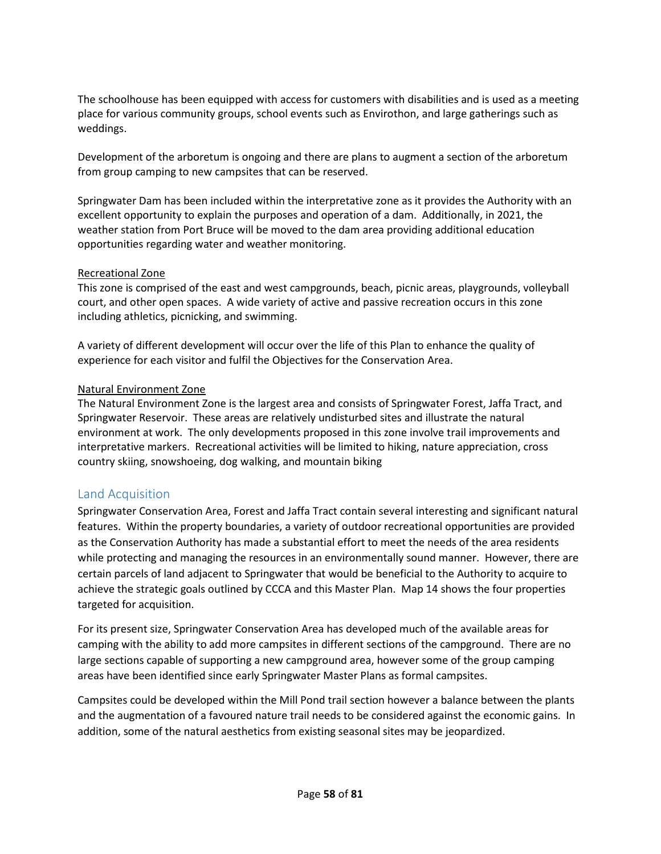The schoolhouse has been equipped with access for customers with disabilities and is used as a meeting place for various community groups, school events such as Envirothon, and large gatherings such as weddings.

Development of the arboretum is ongoing and there are plans to augment a section of the arboretum from group camping to new campsites that can be reserved.

Springwater Dam has been included within the interpretative zone as it provides the Authority with an excellent opportunity to explain the purposes and operation of a dam. Additionally, in 2021, the weather station from Port Bruce will be moved to the dam area providing additional education opportunities regarding water and weather monitoring.

### Recreational Zone

This zone is comprised of the east and west campgrounds, beach, picnic areas, playgrounds, volleyball court, and other open spaces. A wide variety of active and passive recreation occurs in this zone including athletics, picnicking, and swimming.

A variety of different development will occur over the life of this Plan to enhance the quality of experience for each visitor and fulfil the Objectives for the Conservation Area.

### Natural Environment Zone

The Natural Environment Zone is the largest area and consists of Springwater Forest, Jaffa Tract, and Springwater Reservoir. These areas are relatively undisturbed sites and illustrate the natural environment at work. The only developments proposed in this zone involve trail improvements and interpretative markers. Recreational activities will be limited to hiking, nature appreciation, cross country skiing, snowshoeing, dog walking, and mountain biking

## Land Acquisition

Springwater Conservation Area, Forest and Jaffa Tract contain several interesting and significant natural features. Within the property boundaries, a variety of outdoor recreational opportunities are provided as the Conservation Authority has made a substantial effort to meet the needs of the area residents while protecting and managing the resources in an environmentally sound manner. However, there are certain parcels of land adjacent to Springwater that would be beneficial to the Authority to acquire to achieve the strategic goals outlined by CCCA and this Master Plan. Map 14 shows the four properties targeted for acquisition.

For its present size, Springwater Conservation Area has developed much of the available areas for camping with the ability to add more campsites in different sections of the campground. There are no large sections capable of supporting a new campground area, however some of the group camping areas have been identified since early Springwater Master Plans as formal campsites.

Campsites could be developed within the Mill Pond trail section however a balance between the plants and the augmentation of a favoured nature trail needs to be considered against the economic gains. In addition, some of the natural aesthetics from existing seasonal sites may be jeopardized.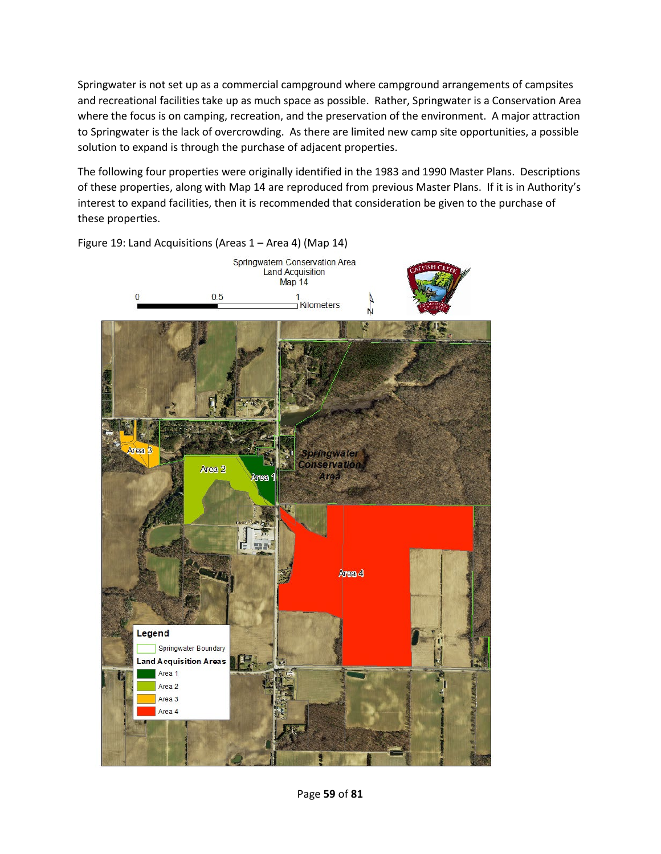Springwater is not set up as a commercial campground where campground arrangements of campsites and recreational facilities take up as much space as possible. Rather, Springwater is a Conservation Area where the focus is on camping, recreation, and the preservation of the environment. A major attraction to Springwater is the lack of overcrowding. As there are limited new camp site opportunities, a possible solution to expand is through the purchase of adjacent properties.

The following four properties were originally identified in the 1983 and 1990 Master Plans. Descriptions of these properties, along with Map 14 are reproduced from previous Master Plans. If it is in Authority's interest to expand facilities, then it is recommended that consideration be given to the purchase of these properties.



Figure 19: Land Acquisitions (Areas 1 – Area 4) (Map 14)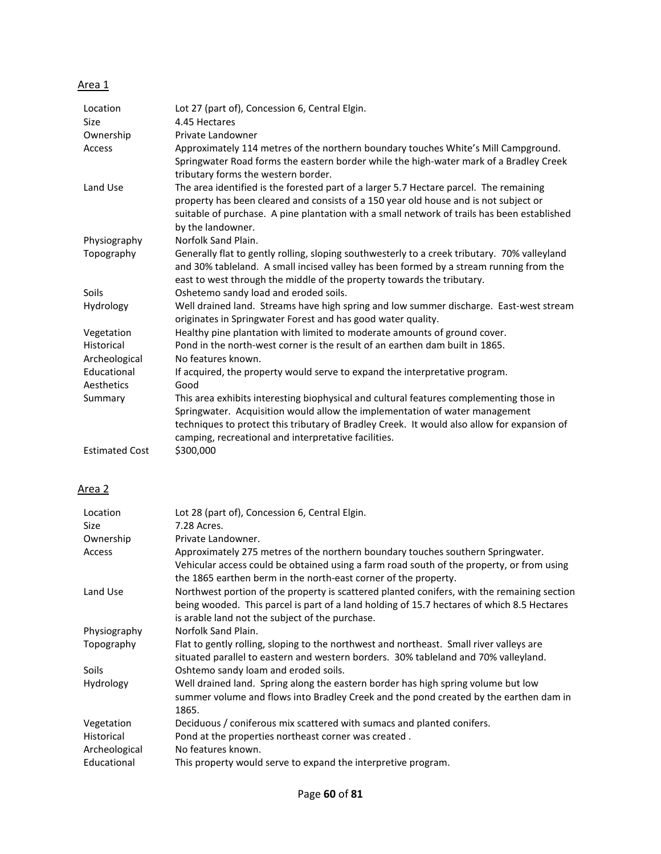### Area 1

| Location              | Lot 27 (part of), Concession 6, Central Elgin.                                                                                                                                                                                                                                                                                |
|-----------------------|-------------------------------------------------------------------------------------------------------------------------------------------------------------------------------------------------------------------------------------------------------------------------------------------------------------------------------|
| <b>Size</b>           | 4.45 Hectares                                                                                                                                                                                                                                                                                                                 |
| Ownership             | Private Landowner                                                                                                                                                                                                                                                                                                             |
| Access                | Approximately 114 metres of the northern boundary touches White's Mill Campground.<br>Springwater Road forms the eastern border while the high-water mark of a Bradley Creek<br>tributary forms the western border.                                                                                                           |
| Land Use              | The area identified is the forested part of a larger 5.7 Hectare parcel. The remaining<br>property has been cleared and consists of a 150 year old house and is not subject or<br>suitable of purchase. A pine plantation with a small network of trails has been established<br>by the landowner.                            |
| Physiography          | Norfolk Sand Plain.                                                                                                                                                                                                                                                                                                           |
| Topography            | Generally flat to gently rolling, sloping southwesterly to a creek tributary. 70% valleyland<br>and 30% tableland. A small incised valley has been formed by a stream running from the<br>east to west through the middle of the property towards the tributary.                                                              |
| Soils                 | Oshetemo sandy load and eroded soils.                                                                                                                                                                                                                                                                                         |
| Hydrology             | Well drained land. Streams have high spring and low summer discharge. East-west stream<br>originates in Springwater Forest and has good water quality.                                                                                                                                                                        |
| Vegetation            | Healthy pine plantation with limited to moderate amounts of ground cover.                                                                                                                                                                                                                                                     |
| Historical            | Pond in the north-west corner is the result of an earthen dam built in 1865.                                                                                                                                                                                                                                                  |
| Archeological         | No features known.                                                                                                                                                                                                                                                                                                            |
| Educational           | If acquired, the property would serve to expand the interpretative program.                                                                                                                                                                                                                                                   |
| Aesthetics            | Good                                                                                                                                                                                                                                                                                                                          |
| Summary               | This area exhibits interesting biophysical and cultural features complementing those in<br>Springwater. Acquisition would allow the implementation of water management<br>techniques to protect this tributary of Bradley Creek. It would also allow for expansion of<br>camping, recreational and interpretative facilities. |
| <b>Estimated Cost</b> | \$300,000                                                                                                                                                                                                                                                                                                                     |

## Area 2

| Location                                  | Lot 28 (part of), Concession 6, Central Elgin.                                                                                                                                                                                                  |
|-------------------------------------------|-------------------------------------------------------------------------------------------------------------------------------------------------------------------------------------------------------------------------------------------------|
| Size                                      | 7.28 Acres.                                                                                                                                                                                                                                     |
| Ownership                                 | Private Landowner.                                                                                                                                                                                                                              |
| Access                                    | Approximately 275 metres of the northern boundary touches southern Springwater.<br>Vehicular access could be obtained using a farm road south of the property, or from using<br>the 1865 earthen berm in the north-east corner of the property. |
| Land Use                                  | Northwest portion of the property is scattered planted conifers, with the remaining section<br>being wooded. This parcel is part of a land holding of 15.7 hectares of which 8.5 Hectares<br>is arable land not the subject of the purchase.    |
| Physiography                              | Norfolk Sand Plain.                                                                                                                                                                                                                             |
| Topography                                | Flat to gently rolling, sloping to the northwest and northeast. Small river valleys are<br>situated parallel to eastern and western borders. 30% tableland and 70% valleyland.                                                                  |
| <b>Soils</b>                              | Oshtemo sandy loam and eroded soils.                                                                                                                                                                                                            |
| Hydrology                                 | Well drained land. Spring along the eastern border has high spring volume but low<br>summer volume and flows into Bradley Creek and the pond created by the earthen dam in<br>1865.                                                             |
| Vegetation<br>Historical<br>Archeological | Deciduous / coniferous mix scattered with sumacs and planted conifers.<br>Pond at the properties northeast corner was created.<br>No features known.                                                                                            |
| Educational                               | This property would serve to expand the interpretive program.                                                                                                                                                                                   |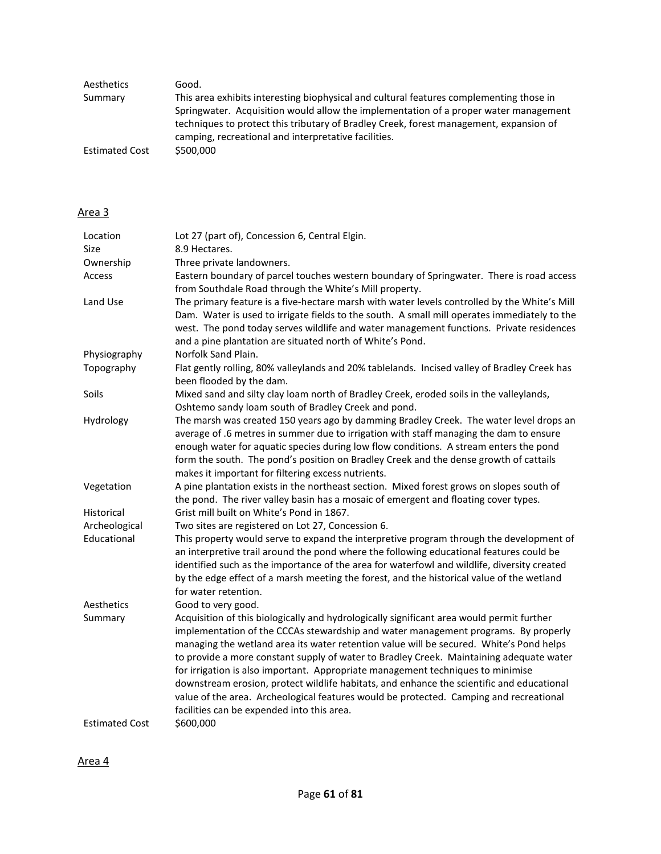| Aesthetics            | Good.                                                                                   |
|-----------------------|-----------------------------------------------------------------------------------------|
| Summary               | This area exhibits interesting biophysical and cultural features complementing those in |
|                       | Springwater. Acquisition would allow the implementation of a proper water management    |
|                       | techniques to protect this tributary of Bradley Creek, forest management, expansion of  |
|                       | camping, recreational and interpretative facilities.                                    |
| <b>Estimated Cost</b> | \$500,000                                                                               |

### Area 3

| Location              | Lot 27 (part of), Concession 6, Central Elgin.                                                                                                                                                                                                                                                                                                                                                                                                                                                                                                                                                                                                                                                |
|-----------------------|-----------------------------------------------------------------------------------------------------------------------------------------------------------------------------------------------------------------------------------------------------------------------------------------------------------------------------------------------------------------------------------------------------------------------------------------------------------------------------------------------------------------------------------------------------------------------------------------------------------------------------------------------------------------------------------------------|
| Size                  | 8.9 Hectares.                                                                                                                                                                                                                                                                                                                                                                                                                                                                                                                                                                                                                                                                                 |
| Ownership             | Three private landowners.                                                                                                                                                                                                                                                                                                                                                                                                                                                                                                                                                                                                                                                                     |
| Access                | Eastern boundary of parcel touches western boundary of Springwater. There is road access<br>from Southdale Road through the White's Mill property.                                                                                                                                                                                                                                                                                                                                                                                                                                                                                                                                            |
| Land Use              | The primary feature is a five-hectare marsh with water levels controlled by the White's Mill<br>Dam. Water is used to irrigate fields to the south. A small mill operates immediately to the<br>west. The pond today serves wildlife and water management functions. Private residences<br>and a pine plantation are situated north of White's Pond.                                                                                                                                                                                                                                                                                                                                          |
| Physiography          | Norfolk Sand Plain.                                                                                                                                                                                                                                                                                                                                                                                                                                                                                                                                                                                                                                                                           |
| Topography            | Flat gently rolling, 80% valleylands and 20% tablelands. Incised valley of Bradley Creek has<br>been flooded by the dam.                                                                                                                                                                                                                                                                                                                                                                                                                                                                                                                                                                      |
| Soils                 | Mixed sand and silty clay loam north of Bradley Creek, eroded soils in the valleylands,<br>Oshtemo sandy loam south of Bradley Creek and pond.                                                                                                                                                                                                                                                                                                                                                                                                                                                                                                                                                |
| Hydrology             | The marsh was created 150 years ago by damming Bradley Creek. The water level drops an<br>average of .6 metres in summer due to irrigation with staff managing the dam to ensure<br>enough water for aquatic species during low flow conditions. A stream enters the pond<br>form the south. The pond's position on Bradley Creek and the dense growth of cattails<br>makes it important for filtering excess nutrients.                                                                                                                                                                                                                                                                      |
| Vegetation            | A pine plantation exists in the northeast section. Mixed forest grows on slopes south of<br>the pond. The river valley basin has a mosaic of emergent and floating cover types.                                                                                                                                                                                                                                                                                                                                                                                                                                                                                                               |
| Historical            | Grist mill built on White's Pond in 1867.                                                                                                                                                                                                                                                                                                                                                                                                                                                                                                                                                                                                                                                     |
| Archeological         | Two sites are registered on Lot 27, Concession 6.                                                                                                                                                                                                                                                                                                                                                                                                                                                                                                                                                                                                                                             |
| Educational           | This property would serve to expand the interpretive program through the development of<br>an interpretive trail around the pond where the following educational features could be<br>identified such as the importance of the area for waterfowl and wildlife, diversity created<br>by the edge effect of a marsh meeting the forest, and the historical value of the wetland<br>for water retention.                                                                                                                                                                                                                                                                                        |
| Aesthetics            | Good to very good.                                                                                                                                                                                                                                                                                                                                                                                                                                                                                                                                                                                                                                                                            |
| Summary               | Acquisition of this biologically and hydrologically significant area would permit further<br>implementation of the CCCAs stewardship and water management programs. By properly<br>managing the wetland area its water retention value will be secured. White's Pond helps<br>to provide a more constant supply of water to Bradley Creek. Maintaining adequate water<br>for irrigation is also important. Appropriate management techniques to minimise<br>downstream erosion, protect wildlife habitats, and enhance the scientific and educational<br>value of the area. Archeological features would be protected. Camping and recreational<br>facilities can be expended into this area. |
| <b>Estimated Cost</b> | \$600,000                                                                                                                                                                                                                                                                                                                                                                                                                                                                                                                                                                                                                                                                                     |

Area 4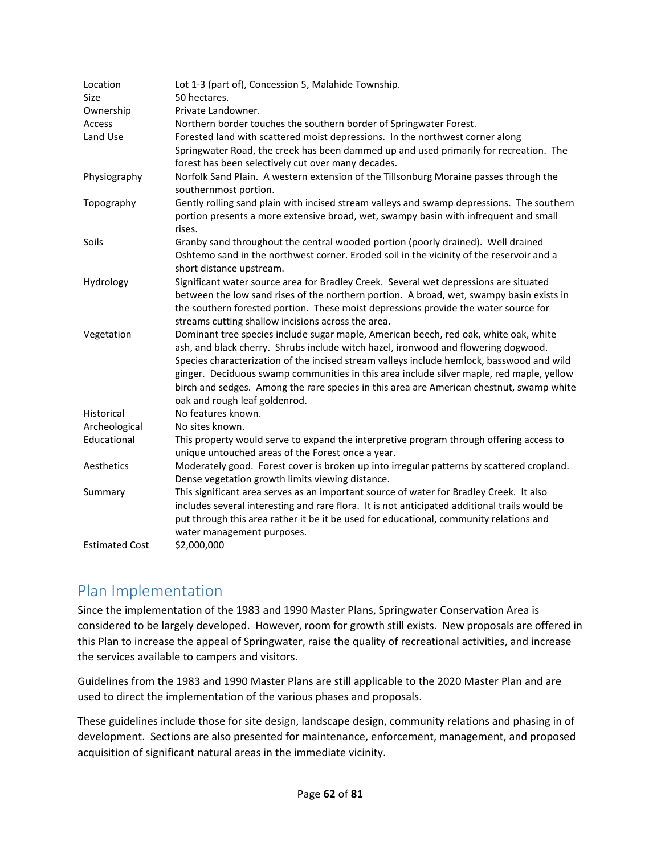| Location<br><b>Size</b> | Lot 1-3 (part of), Concession 5, Malahide Township.<br>50 hectares.                                                                                                                                                                                                                                                                                                                                                                                                                              |
|-------------------------|--------------------------------------------------------------------------------------------------------------------------------------------------------------------------------------------------------------------------------------------------------------------------------------------------------------------------------------------------------------------------------------------------------------------------------------------------------------------------------------------------|
| Ownership               | Private Landowner.                                                                                                                                                                                                                                                                                                                                                                                                                                                                               |
| Access                  | Northern border touches the southern border of Springwater Forest.                                                                                                                                                                                                                                                                                                                                                                                                                               |
| Land Use                | Forested land with scattered moist depressions. In the northwest corner along                                                                                                                                                                                                                                                                                                                                                                                                                    |
|                         | Springwater Road, the creek has been dammed up and used primarily for recreation. The<br>forest has been selectively cut over many decades.                                                                                                                                                                                                                                                                                                                                                      |
| Physiography            | Norfolk Sand Plain. A western extension of the Tillsonburg Moraine passes through the<br>southernmost portion.                                                                                                                                                                                                                                                                                                                                                                                   |
| Topography              | Gently rolling sand plain with incised stream valleys and swamp depressions. The southern<br>portion presents a more extensive broad, wet, swampy basin with infrequent and small<br>rises.                                                                                                                                                                                                                                                                                                      |
| Soils                   | Granby sand throughout the central wooded portion (poorly drained). Well drained<br>Oshtemo sand in the northwest corner. Eroded soil in the vicinity of the reservoir and a<br>short distance upstream.                                                                                                                                                                                                                                                                                         |
| Hydrology               | Significant water source area for Bradley Creek. Several wet depressions are situated<br>between the low sand rises of the northern portion. A broad, wet, swampy basin exists in<br>the southern forested portion. These moist depressions provide the water source for<br>streams cutting shallow incisions across the area.                                                                                                                                                                   |
| Vegetation              | Dominant tree species include sugar maple, American beech, red oak, white oak, white<br>ash, and black cherry. Shrubs include witch hazel, ironwood and flowering dogwood.<br>Species characterization of the incised stream valleys include hemlock, basswood and wild<br>ginger. Deciduous swamp communities in this area include silver maple, red maple, yellow<br>birch and sedges. Among the rare species in this area are American chestnut, swamp white<br>oak and rough leaf goldenrod. |
| Historical              | No features known.                                                                                                                                                                                                                                                                                                                                                                                                                                                                               |
| Archeological           | No sites known.                                                                                                                                                                                                                                                                                                                                                                                                                                                                                  |
| Educational             | This property would serve to expand the interpretive program through offering access to<br>unique untouched areas of the Forest once a year.                                                                                                                                                                                                                                                                                                                                                     |
| Aesthetics              | Moderately good. Forest cover is broken up into irregular patterns by scattered cropland.<br>Dense vegetation growth limits viewing distance.                                                                                                                                                                                                                                                                                                                                                    |
| Summary                 | This significant area serves as an important source of water for Bradley Creek. It also<br>includes several interesting and rare flora. It is not anticipated additional trails would be<br>put through this area rather it be it be used for educational, community relations and<br>water management purposes.                                                                                                                                                                                 |
| <b>Estimated Cost</b>   | \$2,000,000                                                                                                                                                                                                                                                                                                                                                                                                                                                                                      |

## Plan Implementation

Since the implementation of the 1983 and 1990 Master Plans, Springwater Conservation Area is considered to be largely developed. However, room for growth still exists. New proposals are offered in this Plan to increase the appeal of Springwater, raise the quality of recreational activities, and increase the services available to campers and visitors.

Guidelines from the 1983 and 1990 Master Plans are still applicable to the 2020 Master Plan and are used to direct the implementation of the various phases and proposals.

These guidelines include those for site design, landscape design, community relations and phasing in of development. Sections are also presented for maintenance, enforcement, management, and proposed acquisition of significant natural areas in the immediate vicinity.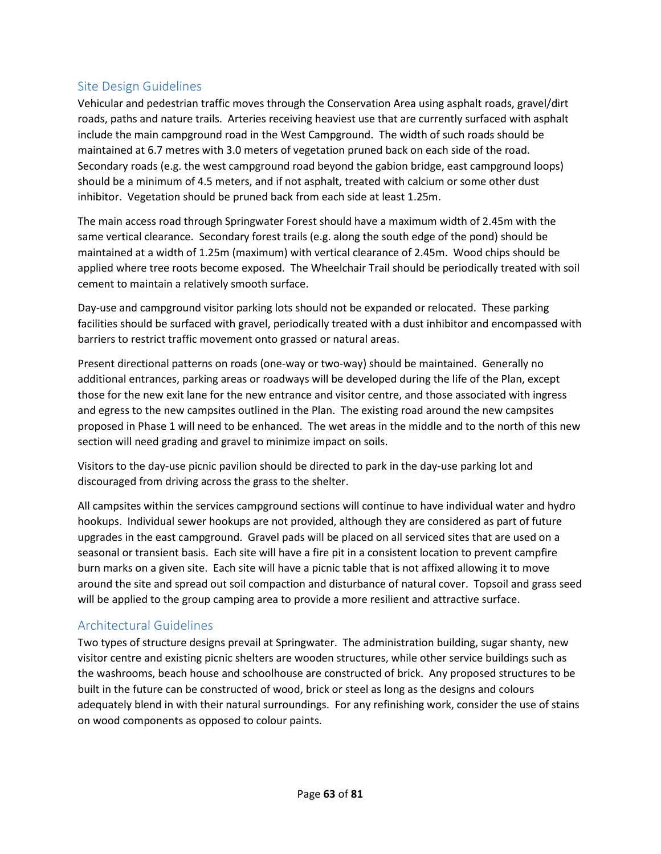## Site Design Guidelines

Vehicular and pedestrian traffic moves through the Conservation Area using asphalt roads, gravel/dirt roads, paths and nature trails. Arteries receiving heaviest use that are currently surfaced with asphalt include the main campground road in the West Campground. The width of such roads should be maintained at 6.7 metres with 3.0 meters of vegetation pruned back on each side of the road. Secondary roads (e.g. the west campground road beyond the gabion bridge, east campground loops) should be a minimum of 4.5 meters, and if not asphalt, treated with calcium or some other dust inhibitor. Vegetation should be pruned back from each side at least 1.25m.

The main access road through Springwater Forest should have a maximum width of 2.45m with the same vertical clearance. Secondary forest trails (e.g. along the south edge of the pond) should be maintained at a width of 1.25m (maximum) with vertical clearance of 2.45m. Wood chips should be applied where tree roots become exposed. The Wheelchair Trail should be periodically treated with soil cement to maintain a relatively smooth surface.

Day-use and campground visitor parking lots should not be expanded or relocated. These parking facilities should be surfaced with gravel, periodically treated with a dust inhibitor and encompassed with barriers to restrict traffic movement onto grassed or natural areas.

Present directional patterns on roads (one-way or two-way) should be maintained. Generally no additional entrances, parking areas or roadways will be developed during the life of the Plan, except those for the new exit lane for the new entrance and visitor centre, and those associated with ingress and egress to the new campsites outlined in the Plan. The existing road around the new campsites proposed in Phase 1 will need to be enhanced. The wet areas in the middle and to the north of this new section will need grading and gravel to minimize impact on soils.

Visitors to the day-use picnic pavilion should be directed to park in the day-use parking lot and discouraged from driving across the grass to the shelter.

All campsites within the services campground sections will continue to have individual water and hydro hookups. Individual sewer hookups are not provided, although they are considered as part of future upgrades in the east campground. Gravel pads will be placed on all serviced sites that are used on a seasonal or transient basis. Each site will have a fire pit in a consistent location to prevent campfire burn marks on a given site. Each site will have a picnic table that is not affixed allowing it to move around the site and spread out soil compaction and disturbance of natural cover. Topsoil and grass seed will be applied to the group camping area to provide a more resilient and attractive surface.

## Architectural Guidelines

Two types of structure designs prevail at Springwater. The administration building, sugar shanty, new visitor centre and existing picnic shelters are wooden structures, while other service buildings such as the washrooms, beach house and schoolhouse are constructed of brick. Any proposed structures to be built in the future can be constructed of wood, brick or steel as long as the designs and colours adequately blend in with their natural surroundings. For any refinishing work, consider the use of stains on wood components as opposed to colour paints.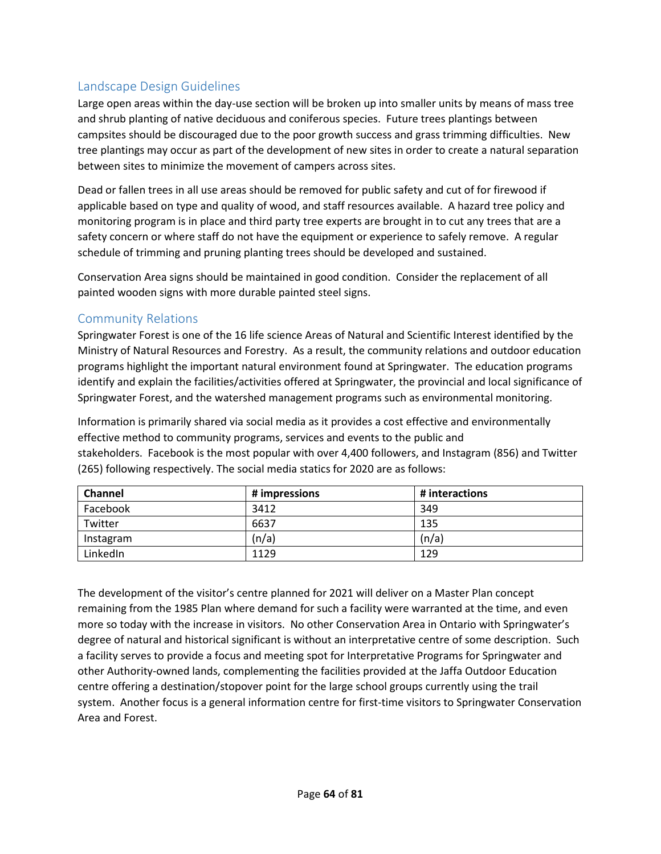## Landscape Design Guidelines

Large open areas within the day-use section will be broken up into smaller units by means of mass tree and shrub planting of native deciduous and coniferous species. Future trees plantings between campsites should be discouraged due to the poor growth success and grass trimming difficulties. New tree plantings may occur as part of the development of new sites in order to create a natural separation between sites to minimize the movement of campers across sites.

Dead or fallen trees in all use areas should be removed for public safety and cut of for firewood if applicable based on type and quality of wood, and staff resources available. A hazard tree policy and monitoring program is in place and third party tree experts are brought in to cut any trees that are a safety concern or where staff do not have the equipment or experience to safely remove. A regular schedule of trimming and pruning planting trees should be developed and sustained.

Conservation Area signs should be maintained in good condition. Consider the replacement of all painted wooden signs with more durable painted steel signs.

## Community Relations

Springwater Forest is one of the 16 life science Areas of Natural and Scientific Interest identified by the Ministry of Natural Resources and Forestry. As a result, the community relations and outdoor education programs highlight the important natural environment found at Springwater. The education programs identify and explain the facilities/activities offered at Springwater, the provincial and local significance of Springwater Forest, and the watershed management programs such as environmental monitoring.

Information is primarily shared via social media as it provides a cost effective and environmentally effective method to community programs, services and events to the public and stakeholders. Facebook is the most popular with over 4,400 followers, and Instagram (856) and Twitter (265) following respectively. The social media statics for 2020 are as follows:

| <b>Channel</b> | # impressions | # interactions |
|----------------|---------------|----------------|
| Facebook       | 3412          | 349            |
| Twitter        | 6637          | 135            |
| Instagram      | (n/a)         | (n/a)          |
| LinkedIn       | 1129          | 129            |

The development of the visitor's centre planned for 2021 will deliver on a Master Plan concept remaining from the 1985 Plan where demand for such a facility were warranted at the time, and even more so today with the increase in visitors. No other Conservation Area in Ontario with Springwater's degree of natural and historical significant is without an interpretative centre of some description. Such a facility serves to provide a focus and meeting spot for Interpretative Programs for Springwater and other Authority-owned lands, complementing the facilities provided at the Jaffa Outdoor Education centre offering a destination/stopover point for the large school groups currently using the trail system. Another focus is a general information centre for first-time visitors to Springwater Conservation Area and Forest.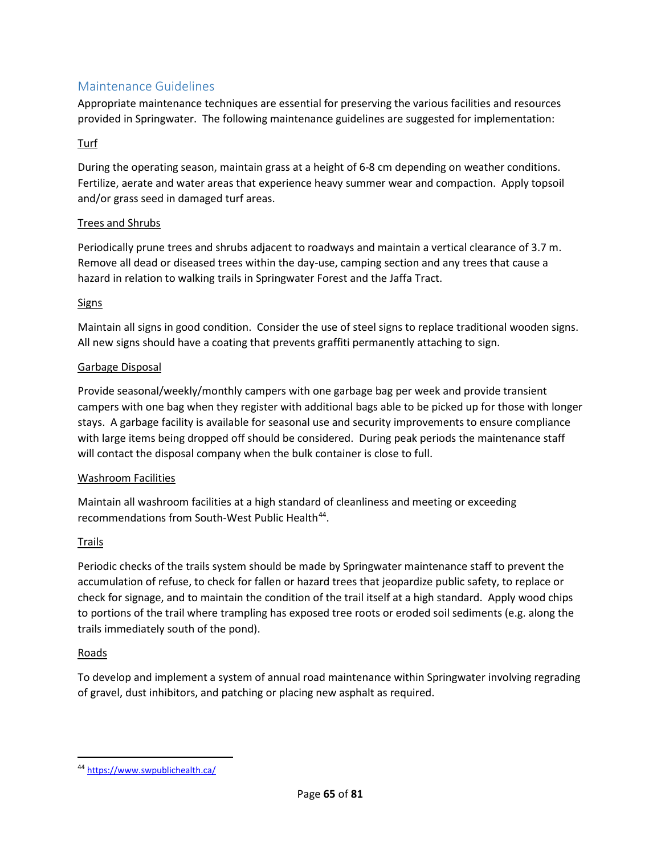## Maintenance Guidelines

Appropriate maintenance techniques are essential for preserving the various facilities and resources provided in Springwater. The following maintenance guidelines are suggested for implementation:

### Turf

During the operating season, maintain grass at a height of 6-8 cm depending on weather conditions. Fertilize, aerate and water areas that experience heavy summer wear and compaction. Apply topsoil and/or grass seed in damaged turf areas.

### Trees and Shrubs

Periodically prune trees and shrubs adjacent to roadways and maintain a vertical clearance of 3.7 m. Remove all dead or diseased trees within the day-use, camping section and any trees that cause a hazard in relation to walking trails in Springwater Forest and the Jaffa Tract.

### Signs

Maintain all signs in good condition. Consider the use of steel signs to replace traditional wooden signs. All new signs should have a coating that prevents graffiti permanently attaching to sign.

### Garbage Disposal

Provide seasonal/weekly/monthly campers with one garbage bag per week and provide transient campers with one bag when they register with additional bags able to be picked up for those with longer stays. A garbage facility is available for seasonal use and security improvements to ensure compliance with large items being dropped off should be considered. During peak periods the maintenance staff will contact the disposal company when the bulk container is close to full.

### Washroom Facilities

Maintain all washroom facilities at a high standard of cleanliness and meeting or exceeding recommendations from South-West Public Health<sup>[44](#page-14-0)</sup>.

### Trails

Periodic checks of the trails system should be made by Springwater maintenance staff to prevent the accumulation of refuse, to check for fallen or hazard trees that jeopardize public safety, to replace or check for signage, and to maintain the condition of the trail itself at a high standard. Apply wood chips to portions of the trail where trampling has exposed tree roots or eroded soil sediments (e.g. along the trails immediately south of the pond).

### Roads

To develop and implement a system of annual road maintenance within Springwater involving regrading of gravel, dust inhibitors, and patching or placing new asphalt as required.

<span id="page-14-0"></span> <sup>44</sup> <https://www.swpublichealth.ca/>